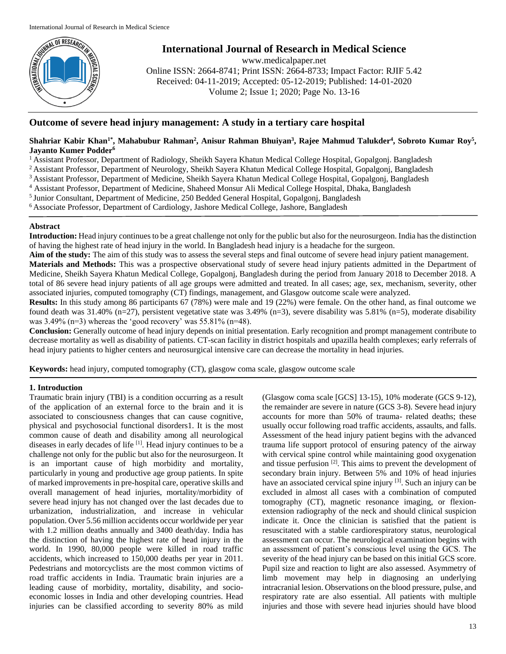

# **International Journal of Research in Medical Science**

www.medicalpaper.net Online ISSN: 2664-8741; Print ISSN: 2664-8733; Impact Factor: RJIF 5.42 Received: 04-11-2019; Accepted: 05-12-2019; Published: 14-01-2020 Volume 2; Issue 1; 2020; Page No. 13-16

## **Outcome of severe head injury management: A study in a tertiary care hospital**

## $\Delta$ Shahriar Kabir Khan<sup>1\*</sup>, Mahabubur Rahman<sup>2</sup>, Anisur Rahman Bhuiyan<sup>3</sup>, Rajee Mahmud Talukder<sup>4</sup>, Sobroto Kumar Roy<sup>5</sup>, **Jayanto Kumer Podder<sup>6</sup>**

<sup>1</sup> Assistant Professor, Department of Radiology, Sheikh Sayera Khatun Medical College Hospital, Gopalgonj. Bangladesh

<sup>2</sup> Assistant Professor, Department of Neurology, Sheikh Sayera Khatun Medical College Hospital, Gopalgonj, Bangladesh

<sup>3</sup>Assistant Professor, Department of Medicine, Sheikh Sayera Khatun Medical College Hospital, Gopalgonj, Bangladesh

<sup>4</sup> Assistant Professor, Department of Medicine, Shaheed Monsur Ali Medical College Hospital, Dhaka, Bangladesh

<sup>5</sup> Junior Consultant, Department of Medicine, 250 Bedded General Hospital, Gopalgonj, Bangladesh

<sup>6</sup>Associate Professor, Department of Cardiology, Jashore Medical College, Jashore, Bangladesh

## **Abstract**

**Introduction:** Head injury continues to be a great challenge not only for the public but also for the neurosurgeon. India has the distinction of having the highest rate of head injury in the world. In Bangladesh head injury is a headache for the surgeon.

**Aim of the study:** The aim of this study was to assess the several steps and final outcome of severe head injury patient management. **Materials and Methods:** This was a prospective observational study of severe head injury patients admitted in the Department of Medicine, Sheikh Sayera Khatun Medical College, Gopalgonj, Bangladesh during the period from January 2018 to December 2018. A total of 86 severe head injury patients of all age groups were admitted and treated. In all cases; age, sex, mechanism, severity, other associated injuries, computed tomography (CT) findings, management, and Glasgow outcome scale were analyzed.

**Results:** In this study among 86 participants 67 (78%) were male and 19 (22%) were female. On the other hand, as final outcome we found death was 31.40% (n=27), persistent vegetative state was  $3.49\%$  (n=3), severe disability was  $5.81\%$  (n=5), moderate disability was 3.49% (n=3) whereas the 'good recovery' was 55.81% (n=48).

**Conclusion:** Generally outcome of head injury depends on initial presentation. Early recognition and prompt management contribute to decrease mortality as well as disability of patients. CT-scan facility in district hospitals and upazilla health complexes; early referrals of head injury patients to higher centers and neurosurgical intensive care can decrease the mortality in head injuries.

**Keywords:** head injury, computed tomography (CT), glasgow coma scale, glasgow outcome scale

## **1. Introduction**

Traumatic brain injury (TBI) is a condition occurring as a result of the application of an external force to the brain and it is associated to consciousness changes that can cause cognitive, physical and psychosocial functional disorders1. It is the most common cause of death and disability among all neurological diseases in early decades of life [1]. Head injury continues to be a challenge not only for the public but also for the neurosurgeon. It is an important cause of high morbidity and mortality, particularly in young and productive age group patients. In spite of marked improvements in pre-hospital care, operative skills and overall management of head injuries, mortality/morbidity of severe head injury has not changed over the last decades due to urbanization, industrialization, and increase in vehicular population. Over 5.56 million accidents occur worldwide per year with 1.2 million deaths annually and 3400 death/day. India has the distinction of having the highest rate of head injury in the world. In 1990, 80,000 people were killed in road traffic accidents, which increased to 150,000 deaths per year in 2011. Pedestrians and motorcyclists are the most common victims of road traffic accidents in India. Traumatic brain injuries are a leading cause of morbidity, mortality, disability, and socioeconomic losses in India and other developing countries. Head injuries can be classified according to severity 80% as mild

(Glasgow coma scale [GCS] 13-15), 10% moderate (GCS 9-12), the remainder are severe in nature (GCS 3-8). Severe head injury accounts for more than 50% of trauma- related deaths; these usually occur following road traffic accidents, assaults, and falls. Assessment of the head injury patient begins with the advanced trauma life support protocol of ensuring patency of the airway with cervical spine control while maintaining good oxygenation and tissue perfusion  $[2]$ . This aims to prevent the development of secondary brain injury. Between 5% and 10% of head injuries have an associated cervical spine injury <sup>[3]</sup>. Such an injury can be excluded in almost all cases with a combination of computed tomography (CT), magnetic resonance imaging, or flexionextension radiography of the neck and should clinical suspicion indicate it. Once the clinician is satisfied that the patient is resuscitated with a stable cardiorespiratory status, neurological assessment can occur. The neurological examination begins with an assessment of patient's conscious level using the GCS. The severity of the head injury can be based on this initial GCS score. Pupil size and reaction to light are also assessed. Asymmetry of limb movement may help in diagnosing an underlying intracranial lesion. Observations on the blood pressure, pulse, and respiratory rate are also essential. All patients with multiple injuries and those with severe head injuries should have blood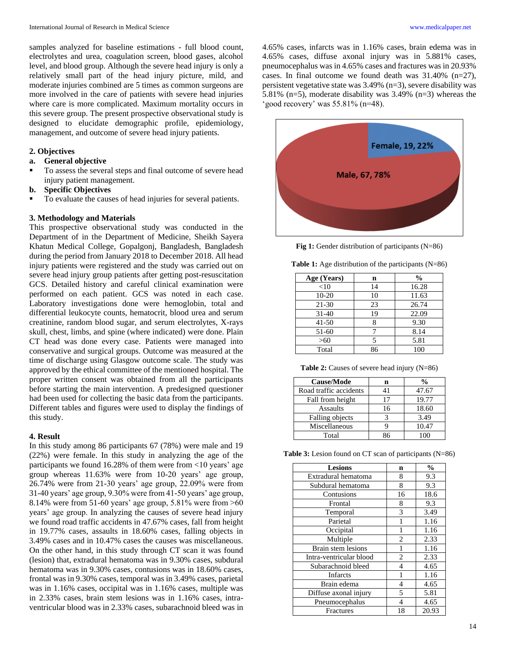samples analyzed for baseline estimations - full blood count, electrolytes and urea, coagulation screen, blood gases, alcohol level, and blood group. Although the severe head injury is only a relatively small part of the head injury picture, mild, and moderate injuries combined are 5 times as common surgeons are more involved in the care of patients with severe head injuries where care is more complicated. Maximum mortality occurs in this severe group. The present prospective observational study is designed to elucidate demographic profile, epidemiology, management, and outcome of severe head injury patients.

## **2. Objectives**

#### **a. General objective**

 To assess the several steps and final outcome of severe head injury patient management.

### **b. Specific Objectives**

To evaluate the causes of head injuries for several patients.

#### **3. Methodology and Materials**

This prospective observational study was conducted in the Department of in the Department of Medicine, Sheikh Sayera Khatun Medical College, Gopalgonj, Bangladesh, Bangladesh during the period from January 2018 to December 2018. All head injury patients were registered and the study was carried out on severe head injury group patients after getting post-resuscitation GCS. Detailed history and careful clinical examination were performed on each patient. GCS was noted in each case. Laboratory investigations done were hemoglobin, total and differential leukocyte counts, hematocrit, blood urea and serum creatinine, random blood sugar, and serum electrolytes, X-rays skull, chest, limbs, and spine (where indicated) were done. Plain CT head was done every case. Patients were managed into conservative and surgical groups. Outcome was measured at the time of discharge using Glasgow outcome scale. The study was approved by the ethical committee of the mentioned hospital. The proper written consent was obtained from all the participants before starting the main intervention. A predesigned questioner had been used for collecting the basic data from the participants. Different tables and figures were used to display the findings of this study.

#### **4. Result**

In this study among 86 participants 67 (78%) were male and 19 (22%) were female. In this study in analyzing the age of the participants we found 16.28% of them were from <10 years' age group whereas 11.63% were from 10-20 years' age group, 26.74% were from 21-30 years' age group, 22.09% were from 31-40 years' age group, 9.30% were from 41-50 years' age group, 8.14% were from 51-60 years' age group, 5.81% were from >60 years' age group. In analyzing the causes of severe head injury we found road traffic accidents in 47.67% cases, fall from height in 19.77% cases, assaults in 18.60% cases, falling objects in 3.49% cases and in 10.47% cases the causes was miscellaneous. On the other hand, in this study through CT scan it was found (lesion) that, extradural hematoma was in 9.30% cases, subdural hematoma was in 9.30% cases, contusions was in 18.60% cases, frontal was in 9.30% cases, temporal was in 3.49% cases, parietal was in 1.16% cases, occipital was in 1.16% cases, multiple was in 2.33% cases, brain stem lesions was in 1.16% cases, intraventricular blood was in 2.33% cases, subarachnoid bleed was in 4.65% cases, infarcts was in 1.16% cases, brain edema was in 4.65% cases, diffuse axonal injury was in 5.881% cases, pneumocephalus was in 4.65% cases and fractures was in 20.93% cases. In final outcome we found death was  $31.40\%$  (n=27), persistent vegetative state was 3.49% (n=3), severe disability was 5.81% (n=5), moderate disability was 3.49% (n=3) whereas the 'good recovery' was 55.81% (n=48).



**Fig 1:** Gender distribution of participants (N=86)

**Table 1:** Age distribution of the participants (N=86)

| Age (Years) | n  | $\frac{0}{0}$ |
|-------------|----|---------------|
| <10         | 14 | 16.28         |
| $10-20$     | 10 | 11.63         |
| $21 - 30$   | 23 | 26.74         |
| $31 - 40$   | 19 | 22.09         |
| $41 - 50$   |    | 9.30          |
| 51-60       |    | 8.14          |
| >60         |    | 5.81          |
| Total       | 86 | 100           |

**Table 2:** Causes of severe head injury (N=86)

| <b>Cause/Mode</b>      | n  | $\frac{0}{0}$ |
|------------------------|----|---------------|
| Road traffic accidents | 41 | 47.67         |
| Fall from height       | 17 | 19.77         |
| Assaults               | 16 | 18.60         |
| Falling objects        |    | 3.49          |
| Miscellaneous          |    | 10.47         |
| Total                  | १६ | 100           |

**Table 3:** Lesion found on CT scan of participants (N=86)

| <b>Lesions</b>          | n              | $\frac{0}{0}$ |
|-------------------------|----------------|---------------|
| Extradural hematoma     | 8              | 9.3           |
| Subdural hematoma       | 8              | 9.3           |
| Contusions              | 16             | 18.6          |
| Frontal                 | 8              | 9.3           |
| Temporal                | 3              | 3.49          |
| Parietal                | 1              | 1.16          |
| Occipital               | 1              | 1.16          |
| Multiple                | $\overline{2}$ | 2.33          |
| Brain stem lesions      | 1              | 1.16          |
| Intra-ventricular blood | $\overline{2}$ | 2.33          |
| Subarachnoid bleed      | 4              | 4.65          |
| Infarcts                | 1              | 1.16          |
| Brain edema             | 4              | 4.65          |
| Diffuse axonal injury   | $\overline{5}$ | 5.81          |
| Pneumocephalus          | 4              | 4.65          |
| Fractures               | 18             | 20.93         |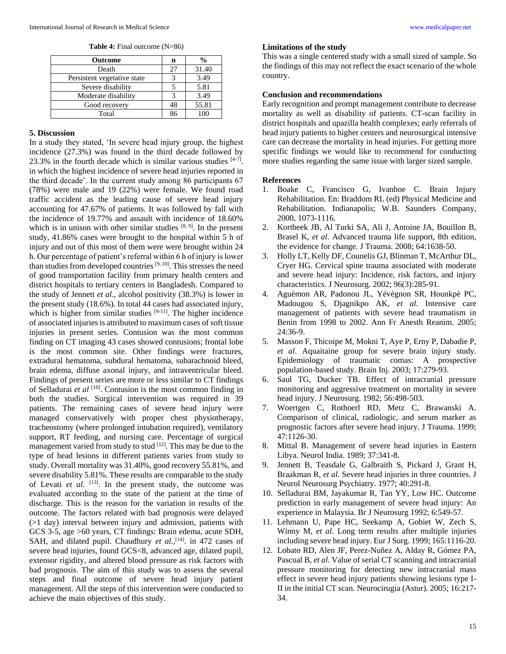**Table 4:** Final outcome (N=86)

| <b>Outcome</b>              | n  | $\frac{0}{0}$ |
|-----------------------------|----|---------------|
| Death                       | 27 | 31.40         |
| Persistent vegetative state |    | 3.49          |
| Severe disability           |    | 5.81          |
| Moderate disability         |    | 3.49          |
| Good recovery               | 48 | 55.81         |
| Total                       | 86 |               |

#### **5. Discussion**

In a study they stated, 'In severe head injury group, the highest incidence (27.3%) was found in the third decade followed by 23.3% in the fourth decade which is similar various studies [4-7]. in which the highest incidence of severe head injuries reported in the third decade'. In the current study among 86 participants 67 (78%) were male and 19 (22%) were female. We found road traffic accident as the leading cause of severe head injury accounting for 47.67% of patients. It was followed by fall with the incidence of 19.77% and assault with incidence of 18.60% which is in unison with other similar studies  $[8, 9]$ . In the present study, 41.86% cases were brought to the hospital within 5 h of injury and out of this most of them were were brought within 24 h. Our percentage of patient's referral within 6 h of injury is lower than studies from developed countries <sup>[9, 10]</sup>. This stresses the need of good transportation facility from primary health centers and district hospitals to tertiary centers in Bangladesh. Compared to the study of Jennett *et al*., alcohol positivity (38.3%) is lower in the present study (18.6%). In total 44 cases had associated injury, which is higher from similar studies  $[9-11]$ . The higher incidence of associated injuries is attributed to maximum cases of soft tissue injuries in present series. Contusion was the most common finding on CT imaging 43 cases showed contusions; frontal lobe is the most common site. Other findings were fractures, extradural hematoma, subdural hematoma, subarachnoid bleed, brain edema, diffuse axonal injury, and intraventricular bleed. Findings of present series are more or less similar to CT findings of Selladurai et al <sup>[10]</sup>. Contusion is the most common finding in both the studies. Surgical intervention was required in 39 patients. The remaining cases of severe head injury were managed conservatively with proper chest physiotherapy, tracheostomy (where prolonged intubation required), ventilatory support, RT feeding, and nursing care. Percentage of surgical management varied from study to stud [12]. This may be due to the type of head lesions in different patients varies from study to study. Overall mortality was 31.40%, good recovery 55.81%, and severe disability 5.81%. These results are comparable to the study of Levati *et al*. [13] . In the present study, the outcome was evaluated according to the state of the patient at the time of discharge. This is the reason for the variation in results of the outcome. The factors related with bad prognosis were delayed (>1 day) interval between injury and admission, patients with GCS 3-5, age >60 years, CT findings: Brain edema, acute SDH, SAH, and dilated pupil. Chaudhury *et al.*,<sup>[14]</sup>. in 472 cases of severe head injuries, found GCS<8, advanced age, dilated pupil, extensor rigidity, and altered blood pressure as risk factors with bad prognosis. The aim of this study was to assess the several steps and final outcome of severe head injury patient management. All the steps of this intervention were conducted to achieve the main objectives of this study.

#### **Limitations of the study**

This was a single centered study with a small sized of sample. So the findings of this may not reflect the exact scenario of the whole country.

#### **Conclusion and recommendations**

Early recognition and prompt management contribute to decrease mortality as well as disability of patients. CT-scan facility in district hospitals and upazilla health complexes; early referrals of head injury patients to higher centers and neurosurgical intensive care can decrease the mortality in head injuries. For getting more specific findings we would like to recommend for conducting more studies regarding the same issue with larger sized sample.

#### **References**

- 1. Boake C, Francisco G, Ivanhoe C. Brain Injury Rehabilitation. En: Braddom RL (ed) Physical Medicine and Rehabilitation. Indianapolis; W.B. Saunders Company, 2000, 1073-1116.
- 2. Kortbeek JB, Al Turki SA, Ali J, Antoine JA, Bouillon B, Brasel K, *et al*. Advanced trauma life support, 8th edition, the evidence for change. J Trauma. 2008; 64:1638-50.
- 3. Holly LT, Kelly DF, Counelis GJ, Blinman T, McArthur DL, Cryer HG. Cervical spine trauma associated with moderate and severe head injury: Incidence, risk factors, and injury characteristics. J Neurosurg. 2002; 96(3):285-91.
- 4. Aguèmon AR, Padonou JL, Yévègnon SR, Hounkpè PC, Madougou S, Djagnikpo AK, *et al*. Intensive care management of patients with severe head traumatism in Benin from 1998 to 2002. Ann Fr Anesth Reanim. 2005; 24:36-9.
- 5. Masson F, Thicoipe M, Mokni T, Aye P, Erny P, Dabadie P, *et al*. Aquaitaine group for severe brain injury study. Epidemiology of traumatic comas: A prospective population-based study. Brain Inj. 2003; 17:279-93.
- Saul TG, Ducker TB. Effect of intracranial pressure monitoring and aggressive treatment on mortality in severe head injury. J Neurosurg. 1982; 56:498-503.
- 7. Woertgen C, Rothoerl RD, Metz C, Brawanski A. Comparison of clinical, radiologic, and serum marker as prognostic factors after severe head injury. J Trauma. 1999; 47:1126-30.
- 8. Mittal B. Management of severe head injuries in Eastern Libya. Neurol India. 1989; 37:341-8.
- 9. Jennett B, Teasdale G, Galbraith S, Pickard J, Grant H, Braakman R, *et al*. Severe head injuries in three countries. J Neurol Neurosurg Psychiatry. 1977; 40:291-8.
- 10. Selladurai BM, Jayakumar R, Tan YY, Low HC. Outcome prediction in early management of severe head injury: An experience in Malaysia. Br J Neurosurg 1992; 6:549-57.
- 11. Lehmann U, Pape HC, Seekamp A, Gobiet W, Zech S, Winny M, *et al*. Long term results after multiple injuries including severe head injury. Eur J Surg. 1999; 165:1116-20.
- 12. Lobato RD, Alen JF, Perez-Nuñez A, Alday R, Gómez PA, Pascual B, *et al*. Value of serial CT scanning and intracranial pressure monitoring for detecting new intracranial mass effect in severe head injury patients showing lesions type I-II in the initial CT scan. Neurocirugia (Astur). 2005; 16:217- 34.